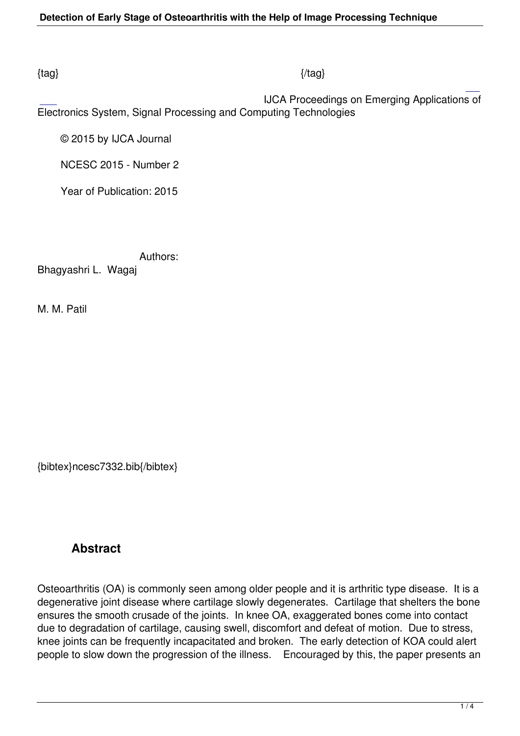### $\{tag\}$

 IJCA Proceedings on Emerging Applications of Electronics System, Signal Processing and Computing Technologies

© 2015 by IJCA Journal

NCESC 2015 - Number 2

Year of Publication: 2015

 Authors: Bhagyashri L. Wagaj

M. M. Patil

{bibtex}ncesc7332.bib{/bibtex}

## **Abstract**

Osteoarthritis (OA) is commonly seen among older people and it is arthritic type disease. It is a degenerative joint disease where cartilage slowly degenerates. Cartilage that shelters the bone ensures the smooth crusade of the joints. In knee OA, exaggerated bones come into contact due to degradation of cartilage, causing swell, discomfort and defeat of motion. Due to stress, knee joints can be frequently incapacitated and broken. The early detection of KOA could alert people to slow down the progression of the illness. Encouraged by this, the paper presents an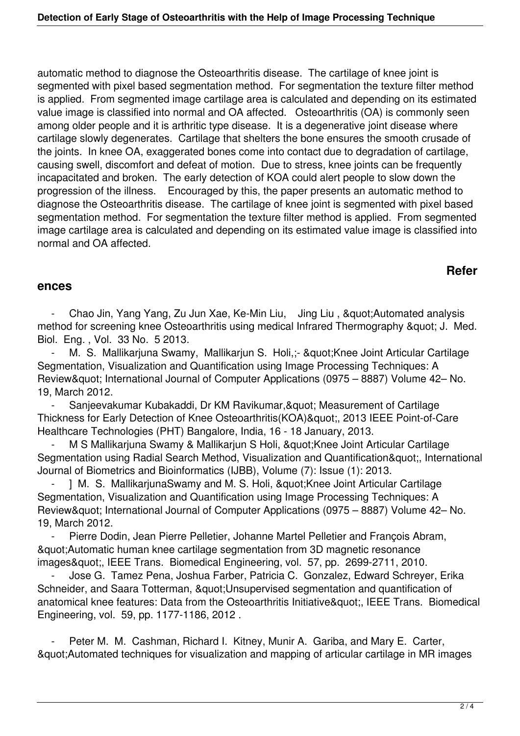automatic method to diagnose the Osteoarthritis disease. The cartilage of knee joint is segmented with pixel based segmentation method. For segmentation the texture filter method is applied. From segmented image cartilage area is calculated and depending on its estimated value image is classified into normal and OA affected. Osteoarthritis (OA) is commonly seen among older people and it is arthritic type disease. It is a degenerative joint disease where cartilage slowly degenerates. Cartilage that shelters the bone ensures the smooth crusade of the joints. In knee OA, exaggerated bones come into contact due to degradation of cartilage, causing swell, discomfort and defeat of motion. Due to stress, knee joints can be frequently incapacitated and broken. The early detection of KOA could alert people to slow down the progression of the illness. Encouraged by this, the paper presents an automatic method to diagnose the Osteoarthritis disease. The cartilage of knee joint is segmented with pixel based segmentation method. For segmentation the texture filter method is applied. From segmented image cartilage area is calculated and depending on its estimated value image is classified into normal and OA affected.

## **Refer**

#### **ences**

Chao Jin, Yang Yang, Zu Jun Xae, Ke-Min Liu, Jing Liu, & quot; Automated analysis method for screening knee Osteoarthritis using medical Infrared Thermography & quot; J. Med. Biol. Eng. , Vol. 33 No. 5 2013.

M. S. Mallikarjuna Swamy, Mallikarjun S. Holi,;- " Knee Joint Articular Cartilage Segmentation, Visualization and Quantification using Image Processing Techniques: A Review" International Journal of Computer Applications (0975 – 8887) Volume 42– No. 19, March 2012.

Sanjeevakumar Kubakaddi, Dr KM Ravikumar, & quot; Measurement of Cartilage Thickness for Early Detection of Knee Osteoarthritis(KOA)", 2013 IEEE Point-of-Care Healthcare Technologies (PHT) Bangalore, India, 16 - 18 January, 2013.

M S Mallikarjuna Swamy & Mallikarjun S Holi, &quot:Knee Joint Articular Cartilage Segmentation using Radial Search Method, Visualization and Quantification", International Journal of Biometrics and Bioinformatics (IJBB), Volume (7): Issue (1): 2013.

1 M. S. MallikarjunaSwamy and M. S. Holi, &quot:Knee Joint Articular Cartilage Segmentation, Visualization and Quantification using Image Processing Techniques: A Review" International Journal of Computer Applications (0975 – 8887) Volume 42– No. 19, March 2012.

Pierre Dodin, Jean Pierre Pelletier, Johanne Martel Pelletier and François Abram, "Automatic human knee cartilage segmentation from 3D magnetic resonance images", IEEE Trans. Biomedical Engineering, vol. 57, pp. 2699-2711, 2010.

 - Jose G. Tamez Pena, Joshua Farber, Patricia C. Gonzalez, Edward Schreyer, Erika Schneider, and Saara Totterman, " Unsupervised segmentation and quantification of anatomical knee features: Data from the Osteoarthritis Initiative", IEEE Trans. Biomedical Engineering, vol. 59, pp. 1177-1186, 2012 .

Peter M. M. Cashman, Richard I. Kitney, Munir A. Gariba, and Mary E. Carter, "Automated techniques for visualization and mapping of articular cartilage in MR images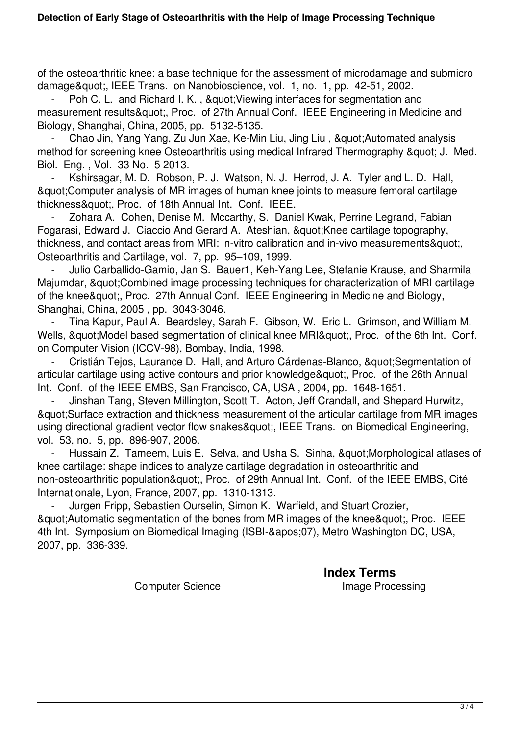of the osteoarthritic knee: a base technique for the assessment of microdamage and submicro damage", IEEE Trans. on Nanobioscience, vol. 1, no. 1, pp. 42-51, 2002.

Poh C. L. and Richard I. K., & quot; Viewing interfaces for segmentation and measurement results", Proc. of 27th Annual Conf. IEEE Engineering in Medicine and Biology, Shanghai, China, 2005, pp. 5132-5135.

Chao Jin, Yang Yang, Zu Jun Xae, Ke-Min Liu, Jing Liu, & auot; Automated analysis method for screening knee Osteoarthritis using medical Infrared Thermography & quot; J. Med. Biol. Eng. , Vol. 33 No. 5 2013.

Kshirsagar, M. D. Robson, P. J. Watson, N. J. Herrod, J. A. Tyler and L. D. Hall, "Computer analysis of MR images of human knee joints to measure femoral cartilage thickness", Proc. of 18th Annual Int. Conf. IEEE.

Zohara A. Cohen, Denise M. Mccarthy, S. Daniel Kwak, Perrine Legrand, Fabian Fogarasi, Edward J. Ciaccio And Gerard A. Ateshian, " Knee cartilage topography, thickness, and contact areas from MRI: in-vitro calibration and in-vivo measurements", Osteoarthritis and Cartilage, vol. 7, pp. 95–109, 1999.

Julio Carballido-Gamio, Jan S. Bauer1, Keh-Yang Lee, Stefanie Krause, and Sharmila Majumdar, & quot; Combined image processing techniques for characterization of MRI cartilage of the knee & quot:, Proc. 27th Annual Conf. IEEE Engineering in Medicine and Biology, Shanghai, China, 2005 , pp. 3043-3046.

 - Tina Kapur, Paul A. Beardsley, Sarah F. Gibson, W. Eric L. Grimson, and William M. Wells, " Model based segmentation of clinical knee MRI", Proc. of the 6th Int. Conf. on Computer Vision (ICCV-98), Bombay, India, 1998.

Cristián Tejos, Laurance D. Hall, and Arturo Cárdenas-Blanco, " Segmentation of articular cartilage using active contours and prior knowledge", Proc. of the 26th Annual Int. Conf. of the IEEE EMBS, San Francisco, CA, USA , 2004, pp. 1648-1651.

 - Jinshan Tang, Steven Millington, Scott T. Acton, Jeff Crandall, and Shepard Hurwitz, "Surface extraction and thickness measurement of the articular cartilage from MR images using directional gradient vector flow snakes", IEEE Trans. on Biomedical Engineering, vol. 53, no. 5, pp. 896-907, 2006.

Hussain Z. Tameem, Luis E. Selva, and Usha S. Sinha, " Morphological atlases of knee cartilage: shape indices to analyze cartilage degradation in osteoarthritic and non-osteoarthritic population", Proc. of 29th Annual Int. Conf. of the IEEE EMBS, Cité Internationale, Lyon, France, 2007, pp. 1310-1313.

Jurgen Fripp, Sebastien Ourselin, Simon K. Warfield, and Stuart Crozier, & quot; Automatic segmentation of the bones from MR images of the knee & quot; Proc. IEEE 4th Int. Symposium on Biomedical Imaging (ISBI-&apos: 07), Metro Washington DC, USA, 2007, pp. 336-339.

**Index Terms** 

Computer Science **Image Processing**